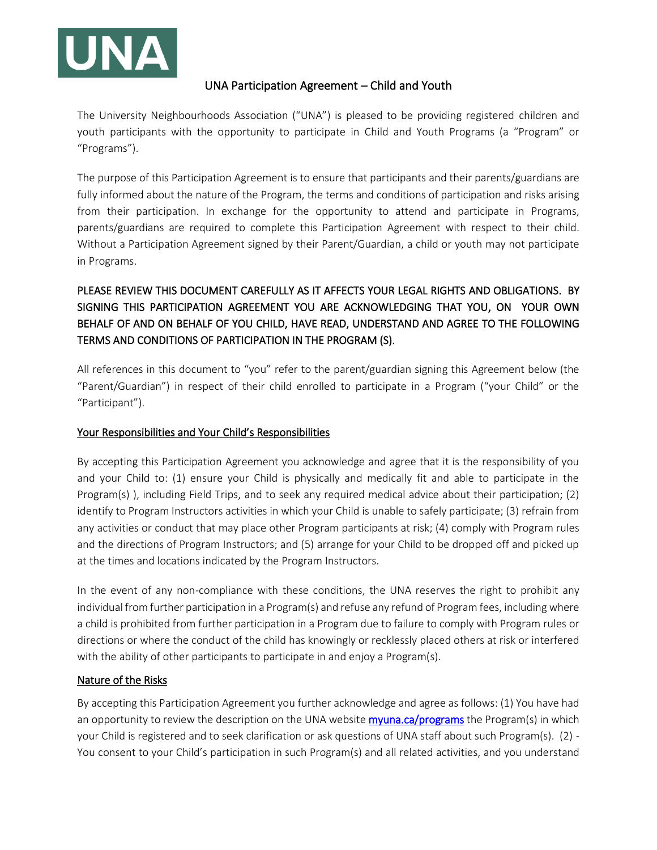

# UNA Participation Agreement – Child and Youth

The University Neighbourhoods Association ("UNA") is pleased to be providing registered children and youth participants with the opportunity to participate in Child and Youth Programs (a "Program" or "Programs").

The purpose of this Participation Agreement is to ensure that participants and their parents/guardians are fully informed about the nature of the Program, the terms and conditions of participation and risks arising from their participation. In exchange for the opportunity to attend and participate in Programs, parents/guardians are required to complete this Participation Agreement with respect to their child. Without a Participation Agreement signed by their Parent/Guardian, a child or youth may not participate in Programs.

# PLEASE REVIEW THIS DOCUMENT CAREFULLY AS IT AFFECTS YOUR LEGAL RIGHTS AND OBLIGATIONS. BY SIGNING THIS PARTICIPATION AGREEMENT YOU ARE ACKNOWLEDGING THAT YOU, ON YOUR OWN BEHALF OF AND ON BEHALF OF YOU CHILD, HAVE READ, UNDERSTAND AND AGREE TO THE FOLLOWING TERMS AND CONDITIONS OF PARTICIPATION IN THE PROGRAM (S).

All references in this document to "you" refer to the parent/guardian signing this Agreement below (the "Parent/Guardian") in respect of their child enrolled to participate in a Program ("your Child" or the "Participant").

# Your Responsibilities and Your Child's Responsibilities

By accepting this Participation Agreement you acknowledge and agree that it is the responsibility of you and your Child to: (1) ensure your Child is physically and medically fit and able to participate in the Program(s) ), including Field Trips, and to seek any required medical advice about their participation; (2) identify to Program Instructors activities in which your Child is unable to safely participate; (3) refrain from any activities or conduct that may place other Program participants at risk; (4) comply with Program rules and the directions of Program Instructors; and (5) arrange for your Child to be dropped off and picked up at the times and locations indicated by the Program Instructors.

In the event of any non-compliance with these conditions, the UNA reserves the right to prohibit any individual from further participation in a Program(s) and refuse any refund of Program fees, including where a child is prohibited from further participation in a Program due to failure to comply with Program rules or directions or where the conduct of the child has knowingly or recklessly placed others at risk or interfered with the ability of other participants to participate in and enjoy a Program(s).

### Nature of the Risks

By accepting this Participation Agreement you further acknowledge and agree as follows: (1) You have had an opportunity to review the description on the UNA website **myuna.ca/programs** the Program(s) in which your Child is registered and to seek clarification or ask questions of UNA staff about such Program(s). (2) - You consent to your Child's participation in such Program(s) and all related activities, and you understand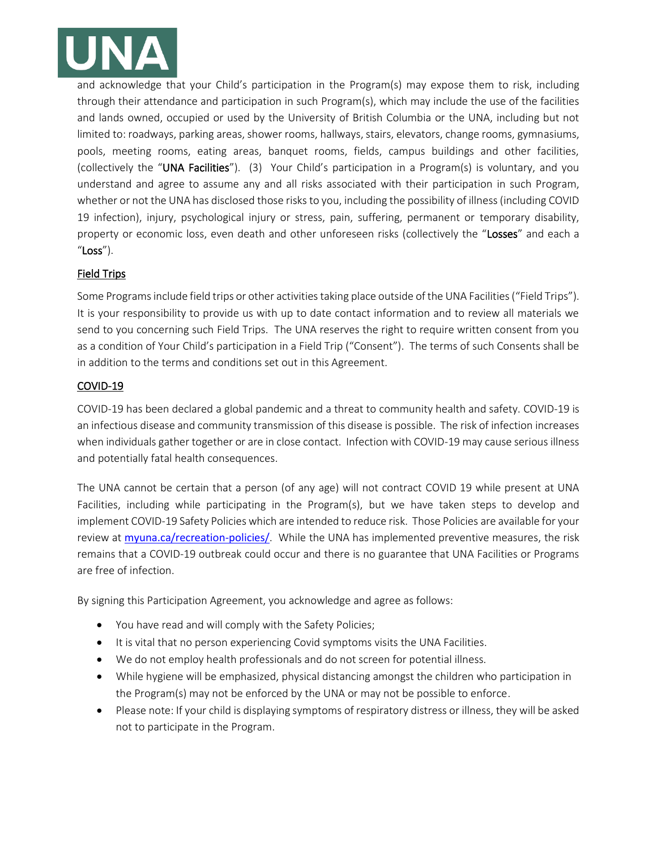

and acknowledge that your Child's participation in the Program(s) may expose them to risk, including through their attendance and participation in such Program(s), which may include the use of the facilities and lands owned, occupied or used by the University of British Columbia or the UNA, including but not limited to: roadways, parking areas, shower rooms, hallways, stairs, elevators, change rooms, gymnasiums, pools, meeting rooms, eating areas, banquet rooms, fields, campus buildings and other facilities, (collectively the "UNA Facilities"). (3) Your Child's participation in a Program(s) is voluntary, and you understand and agree to assume any and all risks associated with their participation in such Program, whether or not the UNA has disclosed those risks to you, including the possibility of illness (including COVID 19 infection), injury, psychological injury or stress, pain, suffering, permanent or temporary disability, property or economic loss, even death and other unforeseen risks (collectively the "Losses" and each a "Loss").

## Field Trips

Some Programs include field trips or other activities taking place outside of the UNA Facilities ("Field Trips"). It is your responsibility to provide us with up to date contact information and to review all materials we send to you concerning such Field Trips. The UNA reserves the right to require written consent from you as a condition of Your Child's participation in a Field Trip ("Consent"). The terms of such Consents shall be in addition to the terms and conditions set out in this Agreement.

### COVID-19

COVID-19 has been declared a global pandemic and a threat to community health and safety. COVID-19 is an infectious disease and community transmission of this disease is possible. The risk of infection increases when individuals gather together or are in close contact. Infection with COVID-19 may cause serious illness and potentially fatal health consequences.

The UNA cannot be certain that a person (of any age) will not contract COVID 19 while present at UNA Facilities, including while participating in the Program(s), but we have taken steps to develop and implement COVID-19 Safety Policies which are intended to reduce risk. Those Policies are available for your review at [myuna.ca/recreation-policies/](https://www.myuna.ca/recreation-policies/). While the UNA has implemented preventive measures, the risk remains that a COVID-19 outbreak could occur and there is no guarantee that UNA Facilities or Programs are free of infection.

By signing this Participation Agreement, you acknowledge and agree as follows:

- You have read and will comply with the Safety Policies;
- It is vital that no person experiencing Covid symptoms visits the UNA Facilities.
- We do not employ health professionals and do not screen for potential illness.
- While hygiene will be emphasized, physical distancing amongst the children who participation in the Program(s) may not be enforced by the UNA or may not be possible to enforce.
- Please note: If your child is displaying symptoms of respiratory distress or illness, they will be asked not to participate in the Program.